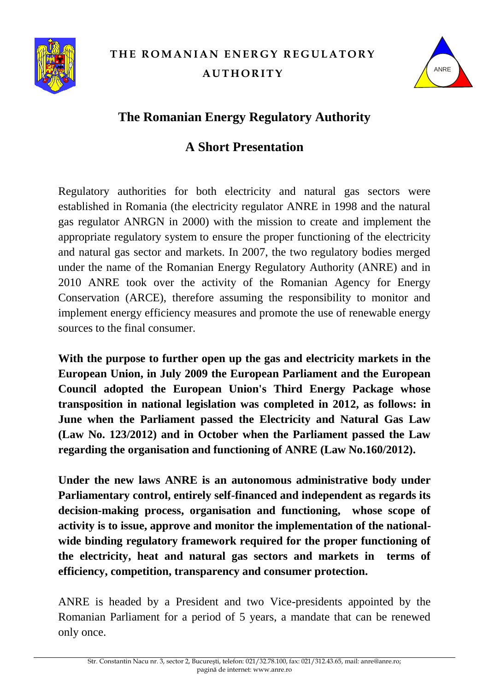

# **THE ROMANIAN ENERGY REGULATORY AUTHORITY**



## **The Romanian Energy Regulatory Authority**

### **A Short Presentation**

Regulatory authorities for both electricity and natural gas sectors were established in Romania (the electricity regulator ANRE in 1998 and the natural gas regulator ANRGN in 2000) with the mission to create and implement the appropriate regulatory system to ensure the proper functioning of the electricity and natural gas sector and markets. In 2007, the two regulatory bodies merged under the name of the Romanian Energy Regulatory Authority (ANRE) and in 2010 ANRE took over the activity of the Romanian Agency for Energy Conservation (ARCE), therefore assuming the responsibility to monitor and implement energy efficiency measures and promote the use of renewable energy sources to the final consumer.

**With the purpose to further open up the gas and electricity markets in the European Union, in July 2009 the European Parliament and the European Council adopted the European Union's Third Energy Package whose transposition in national legislation was completed in 2012, as follows: in June when the Parliament passed the Electricity and Natural Gas Law (Law No. 123/2012) and in October when the Parliament passed the Law regarding the organisation and functioning of ANRE (Law No.160/2012).**

**Under the new laws ANRE is an autonomous administrative body under Parliamentary control, entirely self-financed and independent as regards its decision-making process, organisation and functioning, whose scope of activity is to issue, approve and monitor the implementation of the nationalwide binding regulatory framework required for the proper functioning of the electricity, heat and natural gas sectors and markets in terms of efficiency, competition, transparency and consumer protection.**

ANRE is headed by a President and two Vice-presidents appointed by the Romanian Parliament for a period of 5 years, a mandate that can be renewed only once.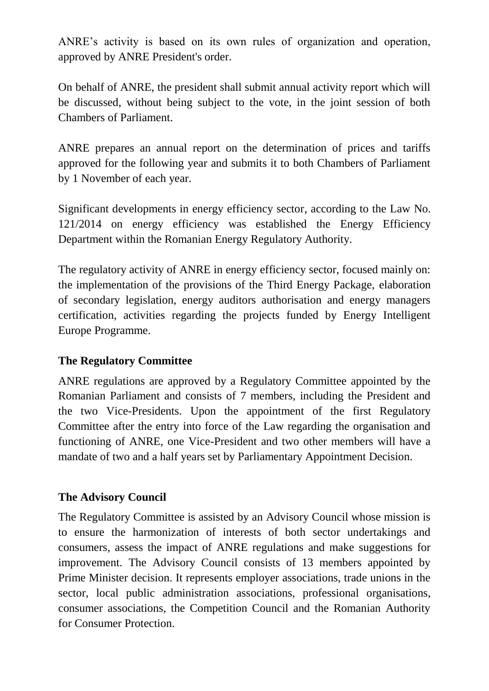ANRE's activity is based on its own rules of organization and operation, approved by ANRE President's order.

On behalf of ANRE, the president shall submit annual activity report which will be discussed, without being subject to the vote, in the joint session of both Chambers of Parliament.

ANRE prepares an annual report on the determination of prices and tariffs approved for the following year and submits it to both Chambers of Parliament by 1 November of each year.

Significant developments in energy efficiency sector, according to the Law No. 121/2014 on energy efficiency was established the Energy Efficiency Department within the Romanian Energy Regulatory Authority.

The regulatory activity of ANRE in energy efficiency sector, focused mainly on: the implementation of the provisions of the Third Energy Package, elaboration of secondary legislation, energy auditors authorisation and energy managers certification, activities regarding the projects funded by Energy Intelligent Europe Programme.

#### **The Regulatory Committee**

ANRE regulations are approved by a Regulatory Committee appointed by the Romanian Parliament and consists of 7 members, including the President and the two Vice-Presidents. Upon the appointment of the first Regulatory Committee after the entry into force of the Law regarding the organisation and functioning of ANRE, one Vice-President and two other members will have a mandate of two and a half years set by Parliamentary Appointment Decision.

#### **The Advisory Council**

The Regulatory Committee is assisted by an Advisory Council whose mission is to ensure the harmonization of interests of both sector undertakings and consumers, assess the impact of ANRE regulations and make suggestions for improvement. The Advisory Council consists of 13 members appointed by Prime Minister decision. It represents employer associations, trade unions in the sector, local public administration associations, professional organisations, consumer associations, the Competition Council and the Romanian Authority for Consumer Protection.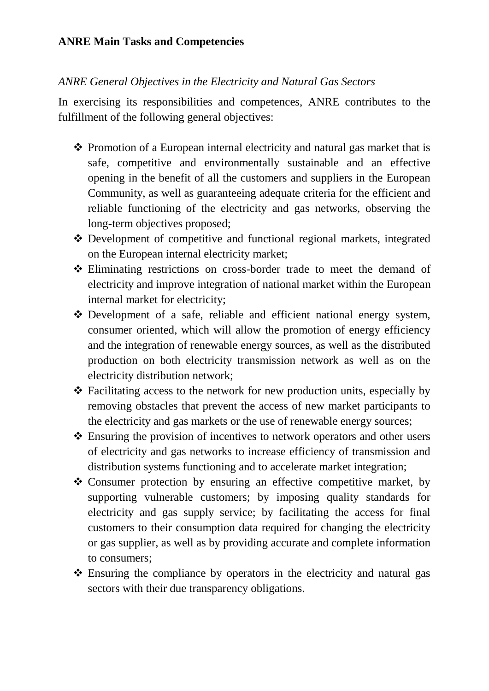#### *ANRE General Objectives in the Electricity and Natural Gas Sectors*

In exercising its responsibilities and competences, ANRE contributes to the fulfillment of the following general objectives:

- $\triangle$  Promotion of a European internal electricity and natural gas market that is safe, competitive and environmentally sustainable and an effective opening in the benefit of all the customers and suppliers in the European Community, as well as guaranteeing adequate criteria for the efficient and reliable functioning of the electricity and gas networks, observing the long-term objectives proposed;
- Development of competitive and functional regional markets, integrated on the European internal electricity market;
- Eliminating restrictions on cross-border trade to meet the demand of electricity and improve integration of national market within the European internal market for electricity;
- Development of a safe, reliable and efficient national energy system, consumer oriented, which will allow the promotion of energy efficiency and the integration of renewable energy sources, as well as the distributed production on both electricity transmission network as well as on the electricity distribution network;
- $\triangle$  Facilitating access to the network for new production units, especially by removing obstacles that prevent the access of new market participants to the electricity and gas markets or the use of renewable energy sources;
- Ensuring the provision of incentives to network operators and other users of electricity and gas networks to increase efficiency of transmission and distribution systems functioning and to accelerate market integration;
- \* Consumer protection by ensuring an effective competitive market, by supporting vulnerable customers; by imposing quality standards for electricity and gas supply service; by facilitating the access for final customers to their consumption data required for changing the electricity or gas supplier, as well as by providing accurate and complete information to consumers;
- Ensuring the compliance by operators in the electricity and natural gas sectors with their due transparency obligations.